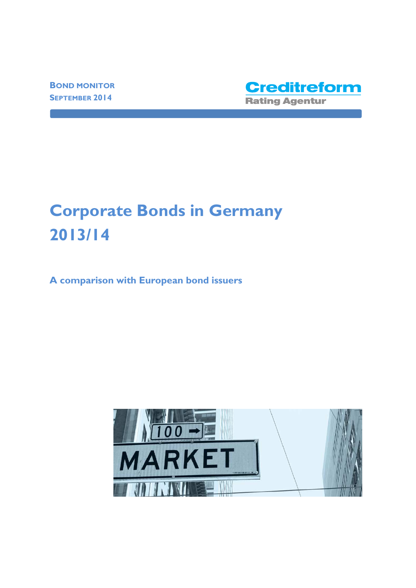**BOND MONITOR SEPTEMBER 2014**



# **Corporate Bonds in Germany 2013/14**

**A comparison with European bond issuers** 

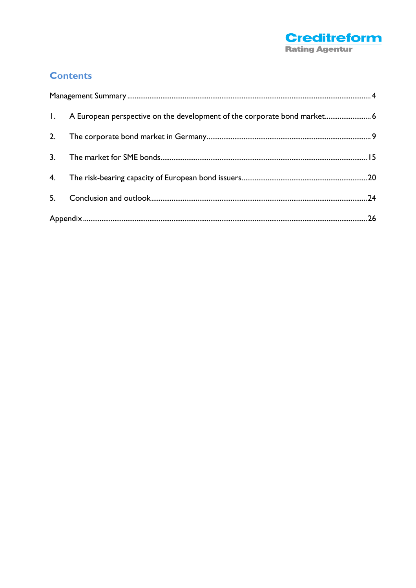

# **Contents**

|                | 1. A European perspective on the development of the corporate bond market 6 |  |  |
|----------------|-----------------------------------------------------------------------------|--|--|
| 2.             |                                                                             |  |  |
| 3.             |                                                                             |  |  |
| 4.             |                                                                             |  |  |
| 5 <sub>1</sub> |                                                                             |  |  |
|                |                                                                             |  |  |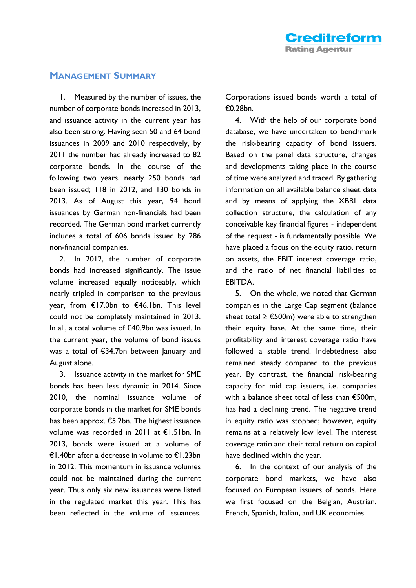### **MANAGEMENT SUMMARY**

1. Measured by the number of issues, the number of corporate bonds increased in 2013, and issuance activity in the current year has also been strong. Having seen 50 and 64 bond issuances in 2009 and 2010 respectively, by 2011 the number had already increased to 82 corporate bonds. In the course of the following two years, nearly 250 bonds had been issued; 118 in 2012, and 130 bonds in 2013. As of August this year, 94 bond issuances by German non-financials had been recorded. The German bond market currently includes a total of 606 bonds issued by 286 non-financial companies.

2. In 2012, the number of corporate bonds had increased significantly. The issue volume increased equally noticeably, which nearly tripled in comparison to the previous year, from €17.0bn to €46.1bn. This level could not be completely maintained in 2013. In all, a total volume of €40.9bn was issued. In the current year, the volume of bond issues was a total of €34.7bn between January and August alone.

3. Issuance activity in the market for SME bonds has been less dynamic in 2014. Since 2010, the nominal issuance volume of corporate bonds in the market for SME bonds has been approx.  $\bigoplus$ . 2bn. The highest issuance volume was recorded in 2011 at €1.51bn. In 2013, bonds were issued at a volume of €1.40bn after a decrease in volume to €1.23bn in 2012. This momentum in issuance volumes could not be maintained during the current year. Thus only six new issuances were listed in the regulated market this year. This has been reflected in the volume of issuances.

Corporations issued bonds worth a total of €0.28bn.

4. With the help of our corporate bond database, we have undertaken to benchmark the risk-bearing capacity of bond issuers. Based on the panel data structure, changes and developments taking place in the course of time were analyzed and traced. By gathering information on all available balance sheet data and by means of applying the XBRL data collection structure, the calculation of any conceivable key financial figures - independent of the request - is fundamentally possible. We have placed a focus on the equity ratio, return on assets, the EBIT interest coverage ratio, and the ratio of net financial liabilities to EBITDA.

5. On the whole, we noted that German companies in the Large Cap segment (balance sheet total  $\geq$   $\bigoplus$  00m) were able to strengthen their equity base. At the same time, their profitability and interest coverage ratio have followed a stable trend. Indebtedness also remained steady compared to the previous year. By contrast, the financial risk-bearing capacity for mid cap issuers, i.e. companies with a balance sheet total of less than €500m, has had a declining trend. The negative trend in equity ratio was stopped; however, equity remains at a relatively low level. The interest coverage ratio and their total return on capital have declined within the year.

6. In the context of our analysis of the corporate bond markets, we have also focused on European issuers of bonds. Here we first focused on the Belgian, Austrian, French, Spanish, Italian, and UK economies.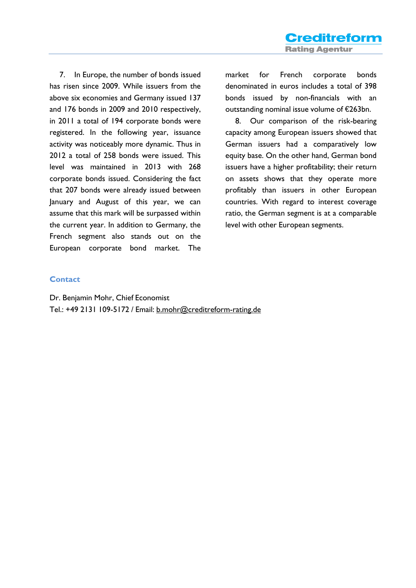7. In Europe, the number of bonds issued has risen since 2009. While issuers from the above six economies and Germany issued 137 and 176 bonds in 2009 and 2010 respectively, in 2011 a total of 194 corporate bonds were registered. In the following year, issuance activity was noticeably more dynamic. Thus in 2012 a total of 258 bonds were issued. This level was maintained in 2013 with 268 corporate bonds issued. Considering the fact that 207 bonds were already issued between January and August of this year, we can assume that this mark will be surpassed within the current year. In addition to Germany, the French segment also stands out on the European corporate bond market. The

market for French corporate bonds denominated in euros includes a total of 398 bonds issued by non-financials with an outstanding nominal issue volume of €263bn.

8. Our comparison of the risk-bearing capacity among European issuers showed that German issuers had a comparatively low equity base. On the other hand, German bond issuers have a higher profitability; their return on assets shows that they operate more profitably than issuers in other European countries. With regard to interest coverage ratio, the German segment is at a comparable level with other European segments.

#### **Contact**

Dr. Benjamin Mohr, Chief Economist Tel.: +49 2131 109-5172 / Email: b.mohr@creditreform-rating.de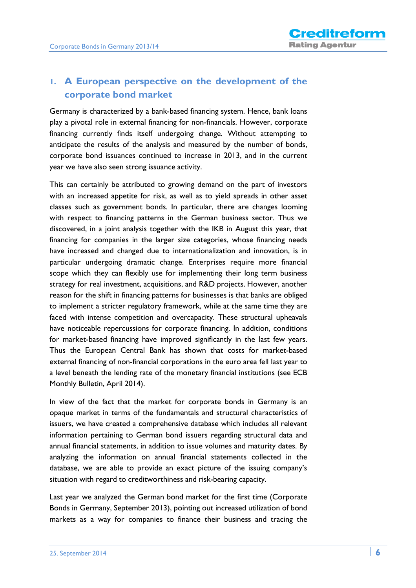## **1. A European perspective on the development of the corporate bond market**

Germany is characterized by a bank-based financing system. Hence, bank loans play a pivotal role in external financing for non-financials. However, corporate financing currently finds itself undergoing change. Without attempting to anticipate the results of the analysis and measured by the number of bonds, corporate bond issuances continued to increase in 2013, and in the current year we have also seen strong issuance activity.

This can certainly be attributed to growing demand on the part of investors with an increased appetite for risk, as well as to yield spreads in other asset classes such as government bonds. In particular, there are changes looming with respect to financing patterns in the German business sector. Thus we discovered, in a joint analysis together with the IKB in August this year, that financing for companies in the larger size categories, whose financing needs have increased and changed due to internationalization and innovation, is in particular undergoing dramatic change. Enterprises require more financial scope which they can flexibly use for implementing their long term business strategy for real investment, acquisitions, and R&D projects. However, another reason for the shift in financing patterns for businesses is that banks are obliged to implement a stricter regulatory framework, while at the same time they are faced with intense competition and overcapacity. These structural upheavals have noticeable repercussions for corporate financing. In addition, conditions for market-based financing have improved significantly in the last few years. Thus the European Central Bank has shown that costs for market-based external financing of non-financial corporations in the euro area fell last year to a level beneath the lending rate of the monetary financial institutions (see ECB Monthly Bulletin, April 2014).

In view of the fact that the market for corporate bonds in Germany is an opaque market in terms of the fundamentals and structural characteristics of issuers, we have created a comprehensive database which includes all relevant information pertaining to German bond issuers regarding structural data and annual financial statements, in addition to issue volumes and maturity dates. By analyzing the information on annual financial statements collected in the database, we are able to provide an exact picture of the issuing company's situation with regard to creditworthiness and risk-bearing capacity.

Last year we analyzed the German bond market for the first time (Corporate Bonds in Germany, September 2013), pointing out increased utilization of bond markets as a way for companies to finance their business and tracing the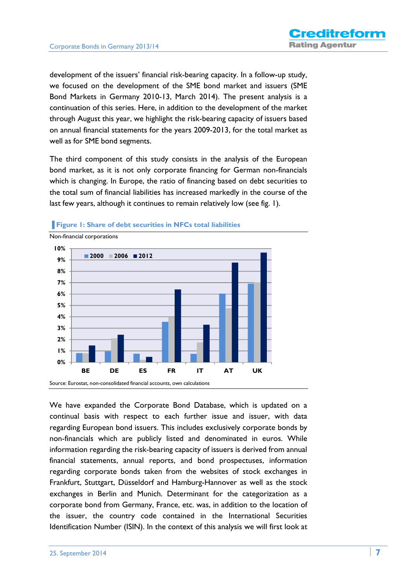development of the issuers' financial risk-bearing capacity. In a follow-up study, we focused on the development of the SME bond market and issuers (SME Bond Markets in Germany 2010-13, March 2014). The present analysis is a continuation of this series. Here, in addition to the development of the market through August this year, we highlight the risk-bearing capacity of issuers based on annual financial statements for the years 2009-2013, for the total market as well as for SME bond segments.

The third component of this study consists in the analysis of the European bond market, as it is not only corporate financing for German non-financials which is changing. In Europe, the ratio of financing based on debt securities to the total sum of financial liabilities has increased markedly in the course of the last few years, although it continues to remain relatively low (see fig. 1).



**Figure 1: Share of debt securities in NFCs total liabilities** 

We have expanded the Corporate Bond Database, which is updated on a continual basis with respect to each further issue and issuer, with data regarding European bond issuers. This includes exclusively corporate bonds by non-financials which are publicly listed and denominated in euros. While information regarding the risk-bearing capacity of issuers is derived from annual financial statements, annual reports, and bond prospectuses, information regarding corporate bonds taken from the websites of stock exchanges in Frankfurt, Stuttgart, Düsseldorf and Hamburg-Hannover as well as the stock exchanges in Berlin and Munich. Determinant for the categorization as a corporate bond from Germany, France, etc. was, in addition to the location of the issuer, the country code contained in the International Securities Identification Number (ISIN). In the context of this analysis we will first look at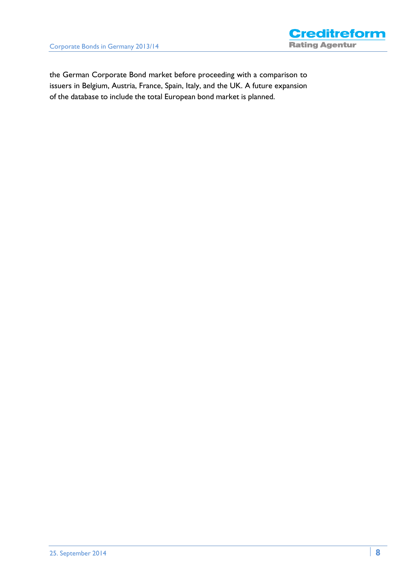

the German Corporate Bond market before proceeding with a comparison to issuers in Belgium, Austria, France, Spain, Italy, and the UK. A future expansion of the database to include the total European bond market is planned.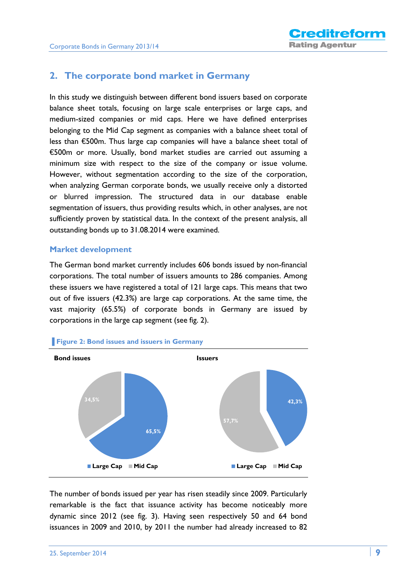## **2. The corporate bond market in Germany**

In this study we distinguish between different bond issuers based on corporate balance sheet totals, focusing on large scale enterprises or large caps, and medium-sized companies or mid caps. Here we have defined enterprises belonging to the Mid Cap segment as companies with a balance sheet total of less than €500m. Thus large cap companies will have a balance sheet total of €500m or more. Usually, bond market studies are carried out assuming a minimum size with respect to the size of the company or issue volume. However, without segmentation according to the size of the corporation, when analyzing German corporate bonds, we usually receive only a distorted or blurred impression. The structured data in our database enable segmentation of issuers, thus providing results which, in other analyses, are not sufficiently proven by statistical data. In the context of the present analysis, all outstanding bonds up to 31.08.2014 were examined.

#### **Market development**

The German bond market currently includes 606 bonds issued by non-financial corporations. The total number of issuers amounts to 286 companies. Among these issuers we have registered a total of 121 large caps. This means that two out of five issuers (42.3%) are large cap corporations. At the same time, the vast majority (65.5%) of corporate bonds in Germany are issued by corporations in the large cap segment (see fig. 2).



The number of bonds issued per year has risen steadily since 2009. Particularly remarkable is the fact that issuance activity has become noticeably more dynamic since 2012 (see fig. 3). Having seen respectively 50 and 64 bond issuances in 2009 and 2010, by 2011 the number had already increased to 82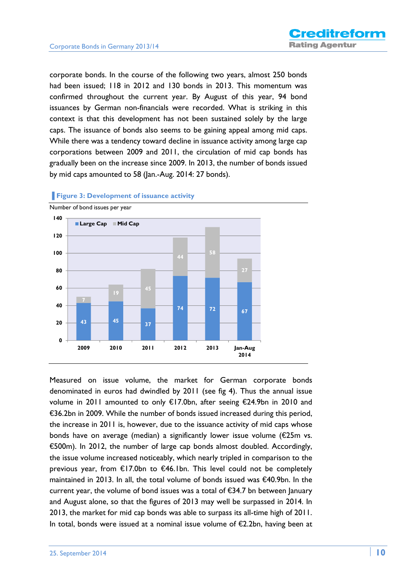corporate bonds. In the course of the following two years, almost 250 bonds had been issued; 118 in 2012 and 130 bonds in 2013. This momentum was confirmed throughout the current year. By August of this year, 94 bond issuances by German non-financials were recorded. What is striking in this context is that this development has not been sustained solely by the large caps. The issuance of bonds also seems to be gaining appeal among mid caps. While there was a tendency toward decline in issuance activity among large cap corporations between 2009 and 2011, the circulation of mid cap bonds has gradually been on the increase since 2009. In 2013, the number of bonds issued by mid caps amounted to 58 (Jan.-Aug. 2014: 27 bonds).



**Figure 3: Development of issuance activity** 

Measured on issue volume, the market for German corporate bonds denominated in euros had dwindled by 2011 (see fig 4). Thus the annual issue volume in 2011 amounted to only €17.0bn, after seeing €24.9bn in 2010 and €36.2bn in 2009. While the number of bonds issued increased during this period, the increase in 2011 is, however, due to the issuance activity of mid caps whose bonds have on average (median) a significantly lower issue volume (€25m vs. €500m). In 2012, the number of large cap bonds almost doubled. Accordingly, the issue volume increased noticeably, which nearly tripled in comparison to the previous year, from €17.0bn to €46.1bn. This level could not be completely maintained in 2013. In all, the total volume of bonds issued was €40.9bn. In the current year, the volume of bond issues was a total of €34.7 bn between January and August alone, so that the figures of 2013 may well be surpassed in 2014. In 2013, the market for mid cap bonds was able to surpass its all-time high of 2011. In total, bonds were issued at a nominal issue volume of €2.2bn, having been at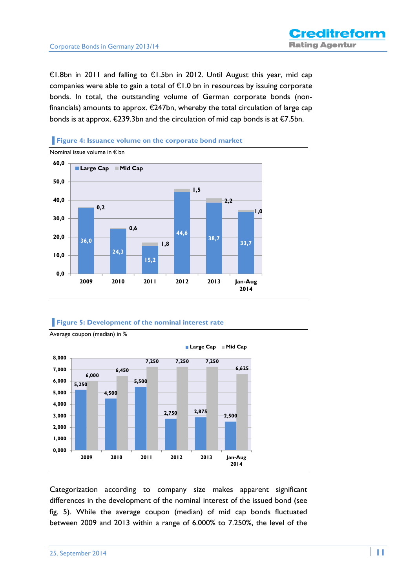€1.8bn in 2011 and falling to €1.5bn in 2012. Until August this year, mid cap companies were able to gain a total of  $\epsilon$ 1.0 bn in resources by issuing corporate bonds. In total, the outstanding volume of German corporate bonds (nonfinancials) amounts to approx.  $\epsilon$ 247bn, whereby the total circulation of large cap bonds is at approx.  $\epsilon$ 239.3bn and the circulation of mid cap bonds is at  $\epsilon$ 7.5bn.





#### **Figure 5: Development of the nominal interest rate**



Average coupon (median) in %

Categorization according to company size makes apparent significant differences in the development of the nominal interest of the issued bond (see fig. 5). While the average coupon (median) of mid cap bonds fluctuated between 2009 and 2013 within a range of 6.000% to 7.250%, the level of the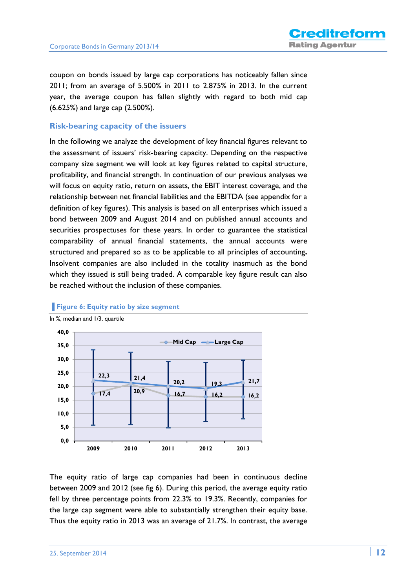coupon on bonds issued by large cap corporations has noticeably fallen since 2011; from an average of 5.500% in 2011 to 2.875% in 2013. In the current year, the average coupon has fallen slightly with regard to both mid cap (6.625%) and large cap (2.500%).

#### **Risk-bearing capacity of the issuers**

In the following we analyze the development of key financial figures relevant to the assessment of issuers' risk-bearing capacity. Depending on the respective company size segment we will look at key figures related to capital structure, profitability, and financial strength. In continuation of our previous analyses we will focus on equity ratio, return on assets, the EBIT interest coverage, and the relationship between net financial liabilities and the EBITDA (see appendix for a definition of key figures). This analysis is based on all enterprises which issued a bond between 2009 and August 2014 and on published annual accounts and securities prospectuses for these years. In order to guarantee the statistical comparability of annual financial statements, the annual accounts were structured and prepared so as to be applicable to all principles of accounting**.** Insolvent companies are also included in the totality inasmuch as the bond which they issued is still being traded. A comparable key figure result can also be reached without the inclusion of these companies.



#### **Figure 6: Equity ratio by size segment**

The equity ratio of large cap companies had been in continuous decline between 2009 and 2012 (see fig 6). During this period, the average equity ratio fell by three percentage points from 22.3% to 19.3%. Recently, companies for the large cap segment were able to substantially strengthen their equity base. Thus the equity ratio in 2013 was an average of 21.7%. In contrast, the average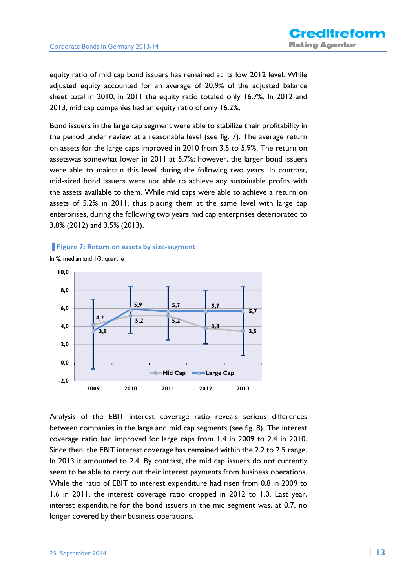equity ratio of mid cap bond issuers has remained at its low 2012 level. While adjusted equity accounted for an average of 20.9% of the adjusted balance sheet total in 2010, in 2011 the equity ratio totaled only 16.7%. In 2012 and 2013, mid cap companies had an equity ratio of only 16.2%.

Bond issuers in the large cap segment were able to stabilize their profitability in the period under review at a reasonable level (see fig. 7). The average return on assets for the large caps improved in 2010 from 3.5 to 5.9%. The return on assetswas somewhat lower in 2011 at 5.7%; however, the larger bond issuers were able to maintain this level during the following two years. In contrast, mid-sized bond issuers were not able to achieve any sustainable profits with the assets available to them. While mid caps were able to achieve a return on assets of 5.2% in 2011, thus placing them at the same level with large cap enterprises, during the following two years mid cap enterprises deteriorated to 3.8% (2012) and 3.5% (2013).

#### **Figure 7: Return on assets by size-segment**



Analysis of the EBIT interest coverage ratio reveals serious differences between companies in the large and mid cap segments (see fig. 8). The interest coverage ratio had improved for large caps from 1.4 in 2009 to 2.4 in 2010. Since then, the EBIT interest coverage has remained within the 2.2 to 2.5 range. In 2013 it amounted to 2.4. By contrast, the mid cap issuers do not currently seem to be able to carry out their interest payments from business operations. While the ratio of EBIT to interest expenditure had risen from 0.8 in 2009 to 1.6 in 2011, the interest coverage ratio dropped in 2012 to 1.0. Last year, interest expenditure for the bond issuers in the mid segment was, at 0.7, no longer covered by their business operations.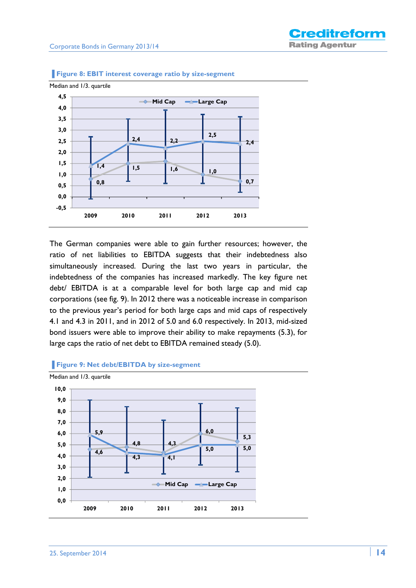

**Figure 8: EBIT interest coverage ratio by size-segment** 





#### **▐ Figure 9: Net debt/EBITDA by size-segment**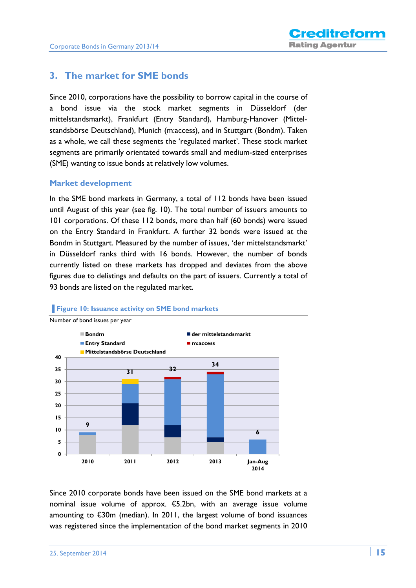## **3. The market for SME bonds**

Since 2010, corporations have the possibility to borrow capital in the course of a bond issue via the stock market segments in Düsseldorf (der mittelstandsmarkt), Frankfurt (Entry Standard), Hamburg-Hanover (Mittelstandsbörse Deutschland), Munich (m:access), and in Stuttgart (Bondm). Taken as a whole, we call these segments the 'regulated market'. These stock market segments are primarily orientated towards small and medium-sized enterprises (SME) wanting to issue bonds at relatively low volumes.

#### **Market development**

In the SME bond markets in Germany, a total of 112 bonds have been issued until August of this year (see fig. 10). The total number of issuers amounts to 101 corporations. Of these 112 bonds, more than half (60 bonds) were issued on the Entry Standard in Frankfurt. A further 32 bonds were issued at the Bondm in Stuttgart. Measured by the number of issues, 'der mittelstandsmarkt' in Düsseldorf ranks third with 16 bonds. However, the number of bonds currently listed on these markets has dropped and deviates from the above figures due to delistings and defaults on the part of issuers. Currently a total of 93 bonds are listed on the regulated market.



#### **Figure 10: Issuance activity on SME bond markets**

Since 2010 corporate bonds have been issued on the SME bond markets at a nominal issue volume of approx. €5.2bn, with an average issue volume amounting to €30m (median). In 2011, the largest volume of bond issuances was registered since the implementation of the bond market segments in 2010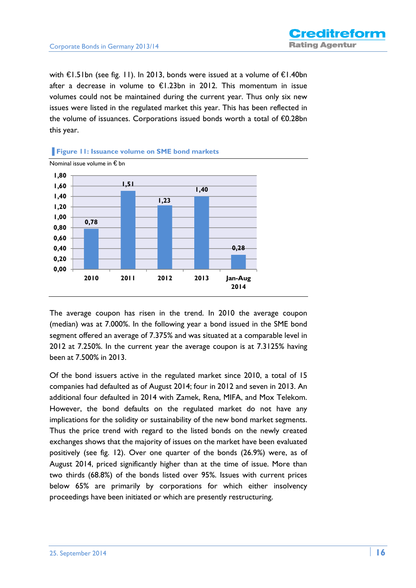with €1.51bn (see fig. 11). In 2013, bonds were issued at a volume of €1.40bn after a decrease in volume to  $\epsilon$ 1.23bn in 2012. This momentum in issue volumes could not be maintained during the current year. Thus only six new issues were listed in the regulated market this year. This has been reflected in the volume of issuances. Corporations issued bonds worth a total of €0.28bn this year.





The average coupon has risen in the trend. In 2010 the average coupon (median) was at 7.000%. In the following year a bond issued in the SME bond segment offered an average of 7.375% and was situated at a comparable level in 2012 at 7.250%. In the current year the average coupon is at 7.3125% having been at 7.500% in 2013.

Of the bond issuers active in the regulated market since 2010, a total of 15 companies had defaulted as of August 2014; four in 2012 and seven in 2013. An additional four defaulted in 2014 with Zamek, Rena, MIFA, and Mox Telekom. However, the bond defaults on the regulated market do not have any implications for the solidity or sustainability of the new bond market segments. Thus the price trend with regard to the listed bonds on the newly created exchanges shows that the majority of issues on the market have been evaluated positively (see fig. 12). Over one quarter of the bonds (26.9%) were, as of August 2014, priced significantly higher than at the time of issue. More than two thirds (68.8%) of the bonds listed over 95%. Issues with current prices below 65% are primarily by corporations for which either insolvency proceedings have been initiated or which are presently restructuring.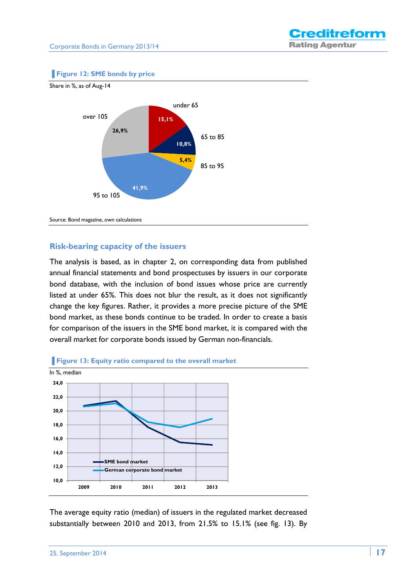#### **Figure 12: SME bonds by price**



# **Risk-bearing capacity of the issuers**

The analysis is based, as in chapter 2, on corresponding data from published annual financial statements and bond prospectuses by issuers in our corporate bond database, with the inclusion of bond issues whose price are currently listed at under 65%. This does not blur the result, as it does not significantly change the key figures. Rather, it provides a more precise picture of the SME bond market, as these bonds continue to be traded. In order to create a basis for comparison of the issuers in the SME bond market, it is compared with the overall market for corporate bonds issued by German non-financials.





The average equity ratio (median) of issuers in the regulated market decreased substantially between 2010 and 2013, from 21.5% to 15.1% (see fig. 13). By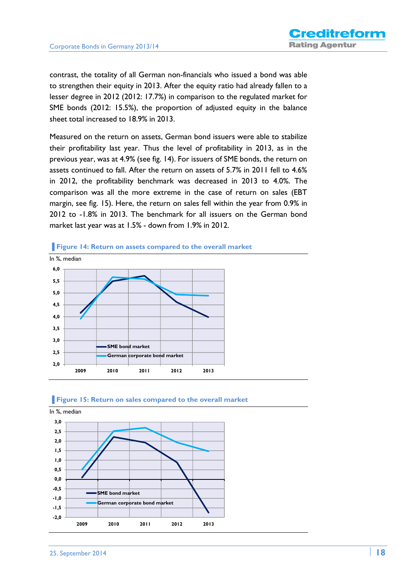contrast, the totality of all German non-financials who issued a bond was able to strengthen their equity in 2013. After the equity ratio had already fallen to a lesser degree in 2012 (2012: 17.7%) in comparison to the regulated market for SME bonds (2012: 15.5%), the proportion of adjusted equity in the balance sheet total increased to 18.9% in 2013.

Measured on the return on assets, German bond issuers were able to stabilize their profitability last year. Thus the level of profitability in 2013, as in the previous year, was at 4.9% (see fig. 14). For issuers of SME bonds, the return on assets continued to fall. After the return on assets of 5.7% in 2011 fell to 4.6% in 2012, the profitability benchmark was decreased in 2013 to 4.0%. The comparison was all the more extreme in the case of return on sales (EBT margin, see fig. 15). Here, the return on sales fell within the year from 0.9% in 2012 to -1.8% in 2013. The benchmark for all issuers on the German bond market last year was at 1.5% - down from 1.9% in 2012.



#### **Figure 14: Return on assets compared to the overall market**



#### **Figure 15: Return on sales compared to the overall market**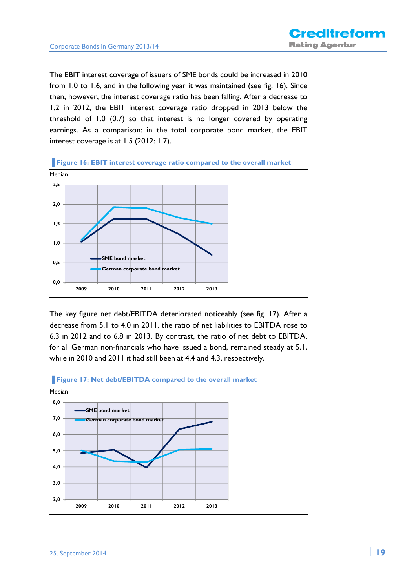The EBIT interest coverage of issuers of SME bonds could be increased in 2010 from 1.0 to 1.6, and in the following year it was maintained (see fig. 16). Since then, however, the interest coverage ratio has been falling. After a decrease to 1.2 in 2012, the EBIT interest coverage ratio dropped in 2013 below the threshold of 1.0 (0.7) so that interest is no longer covered by operating earnings. As a comparison: in the total corporate bond market, the EBIT interest coverage is at 1.5 (2012: 1.7).

**Figure 16: EBIT interest coverage ratio compared to the overall market** Median **0,0 0,5 1,0 1,5 2,0 2,5 2009 2010 2011 2012 2013 SME bond market German corporate bond market**

The key figure net debt/EBITDA deteriorated noticeably (see fig. 17). After a decrease from 5.1 to 4.0 in 2011, the ratio of net liabilities to EBITDA rose to 6.3 in 2012 and to 6.8 in 2013. By contrast, the ratio of net debt to EBITDA, for all German non-financials who have issued a bond, remained steady at 5.1, while in 2010 and 2011 it had still been at 4.4 and 4.3, respectively.



#### **Figure 17: Net debt/EBITDA compared to the overall market**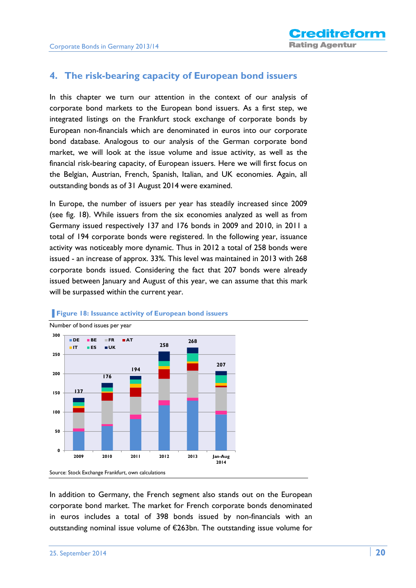## **4. The risk-bearing capacity of European bond issuers**

In this chapter we turn our attention in the context of our analysis of corporate bond markets to the European bond issuers. As a first step, we integrated listings on the Frankfurt stock exchange of corporate bonds by European non-financials which are denominated in euros into our corporate bond database. Analogous to our analysis of the German corporate bond market, we will look at the issue volume and issue activity, as well as the financial risk-bearing capacity, of European issuers. Here we will first focus on the Belgian, Austrian, French, Spanish, Italian, and UK economies. Again, all outstanding bonds as of 31 August 2014 were examined.

In Europe, the number of issuers per year has steadily increased since 2009 (see fig. 18). While issuers from the six economies analyzed as well as from Germany issued respectively 137 and 176 bonds in 2009 and 2010, in 2011 a total of 194 corporate bonds were registered. In the following year, issuance activity was noticeably more dynamic. Thus in 2012 a total of 258 bonds were issued - an increase of approx. 33%. This level was maintained in 2013 with 268 corporate bonds issued. Considering the fact that 207 bonds were already issued between January and August of this year, we can assume that this mark will be surpassed within the current year.



#### **Figure 18: Issuance activity of European bond issuers**

In addition to Germany, the French segment also stands out on the European corporate bond market. The market for French corporate bonds denominated in euros includes a total of 398 bonds issued by non-financials with an outstanding nominal issue volume of €263bn. The outstanding issue volume for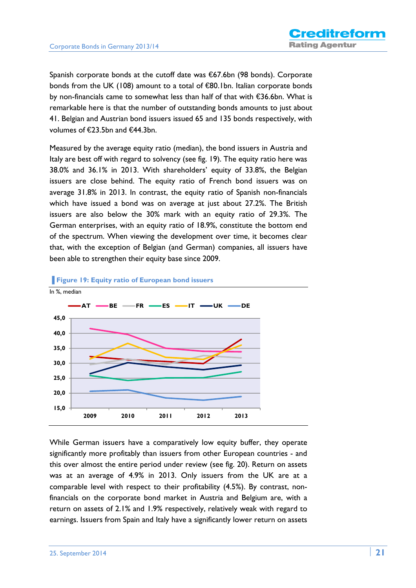Spanish corporate bonds at the cutoff date was €67.6bn (98 bonds). Corporate bonds from the UK (108) amount to a total of €80.1bn. Italian corporate bonds by non-financials came to somewhat less than half of that with €36.6bn. What is remarkable here is that the number of outstanding bonds amounts to just about 41. Belgian and Austrian bond issuers issued 65 and 135 bonds respectively, with volumes of €23.5bn and €44.3bn.

Measured by the average equity ratio (median), the bond issuers in Austria and Italy are best off with regard to solvency (see fig. 19). The equity ratio here was 38.0% and 36.1% in 2013. With shareholders' equity of 33.8%, the Belgian issuers are close behind. The equity ratio of French bond issuers was on average 31.8% in 2013. In contrast, the equity ratio of Spanish non-financials which have issued a bond was on average at just about 27.2%. The British issuers are also below the 30% mark with an equity ratio of 29.3%. The German enterprises, with an equity ratio of 18.9%, constitute the bottom end of the spectrum. When viewing the development over time, it becomes clear that, with the exception of Belgian (and German) companies, all issuers have been able to strengthen their equity base since 2009.



#### **Figure 19: Equity ratio of European bond issuers**

While German issuers have a comparatively low equity buffer, they operate significantly more profitably than issuers from other European countries - and this over almost the entire period under review (see fig. 20). Return on assets was at an average of 4.9% in 2013. Only issuers from the UK are at a comparable level with respect to their profitability (4.5%). By contrast, nonfinancials on the corporate bond market in Austria and Belgium are, with a return on assets of 2.1% and 1.9% respectively, relatively weak with regard to earnings. Issuers from Spain and Italy have a significantly lower return on assets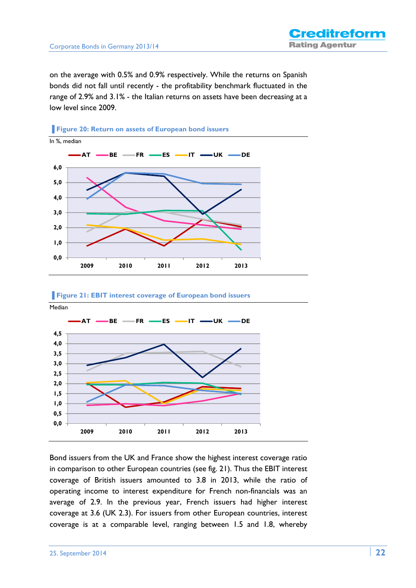on the average with 0.5% and 0.9% respectively. While the returns on Spanish bonds did not fall until recently - the profitability benchmark fluctuated in the range of 2.9% and 3.1% - the Italian returns on assets have been decreasing at a low level since 2009.









Bond issuers from the UK and France show the highest interest coverage ratio in comparison to other European countries (see fig. 21). Thus the EBIT interest coverage of British issuers amounted to 3.8 in 2013, while the ratio of operating income to interest expenditure for French non-financials was an average of 2.9. In the previous year, French issuers had higher interest coverage at 3.6 (UK 2.3). For issuers from other European countries, interest coverage is at a comparable level, ranging between 1.5 and 1.8, whereby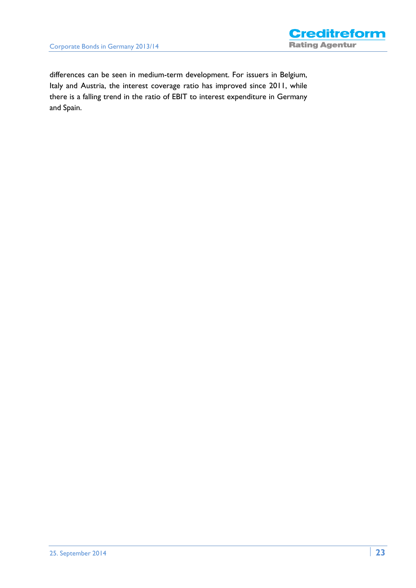

differences can be seen in medium-term development. For issuers in Belgium, Italy and Austria, the interest coverage ratio has improved since 2011, while there is a falling trend in the ratio of EBIT to interest expenditure in Germany and Spain.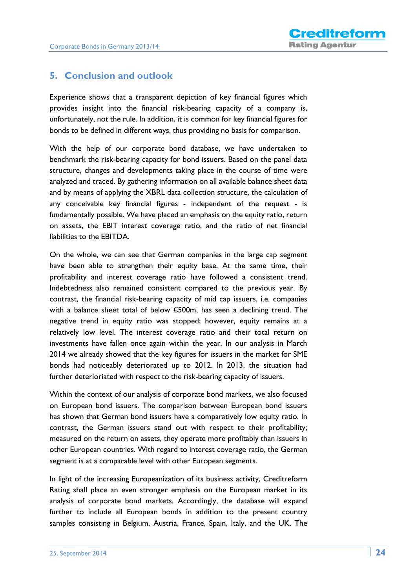## **5. Conclusion and outlook**

Experience shows that a transparent depiction of key financial figures which provides insight into the financial risk-bearing capacity of a company is, unfortunately, not the rule. In addition, it is common for key financial figures for bonds to be defined in different ways, thus providing no basis for comparison.

With the help of our corporate bond database, we have undertaken to benchmark the risk-bearing capacity for bond issuers. Based on the panel data structure, changes and developments taking place in the course of time were analyzed and traced. By gathering information on all available balance sheet data and by means of applying the XBRL data collection structure, the calculation of any conceivable key financial figures - independent of the request - is fundamentally possible. We have placed an emphasis on the equity ratio, return on assets, the EBIT interest coverage ratio, and the ratio of net financial liabilities to the EBITDA.

On the whole, we can see that German companies in the large cap segment have been able to strengthen their equity base. At the same time, their profitability and interest coverage ratio have followed a consistent trend. Indebtedness also remained consistent compared to the previous year. By contrast, the financial risk-bearing capacity of mid cap issuers, i.e. companies with a balance sheet total of below €500m, has seen a declining trend. The negative trend in equity ratio was stopped; however, equity remains at a relatively low level. The interest coverage ratio and their total return on investments have fallen once again within the year. In our analysis in March 2014 we already showed that the key figures for issuers in the market for SME bonds had noticeably deteriorated up to 2012. In 2013, the situation had further deterioriated with respect to the risk-bearing capacity of issuers.

Within the context of our analysis of corporate bond markets, we also focused on European bond issuers. The comparison between European bond issuers has shown that German bond issuers have a comparatively low equity ratio. In contrast, the German issuers stand out with respect to their profitability; measured on the return on assets, they operate more profitably than issuers in other European countries. With regard to interest coverage ratio, the German segment is at a comparable level with other European segments.

In light of the increasing Europeanization of its business activity, Creditreform Rating shall place an even stronger emphasis on the European market in its analysis of corporate bond markets. Accordingly, the database will expand further to include all European bonds in addition to the present country samples consisting in Belgium, Austria, France, Spain, Italy, and the UK. The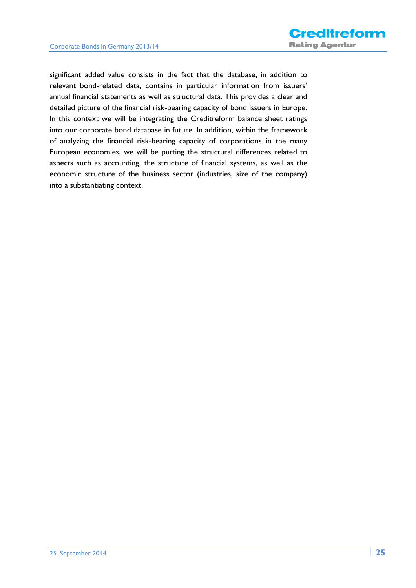significant added value consists in the fact that the database, in addition to relevant bond-related data, contains in particular information from issuers' annual financial statements as well as structural data. This provides a clear and detailed picture of the financial risk-bearing capacity of bond issuers in Europe. In this context we will be integrating the Creditreform balance sheet ratings into our corporate bond database in future. In addition, within the framework of analyzing the financial risk-bearing capacity of corporations in the many European economies, we will be putting the structural differences related to aspects such as accounting, the structure of financial systems, as well as the economic structure of the business sector (industries, size of the company) into a substantiating context.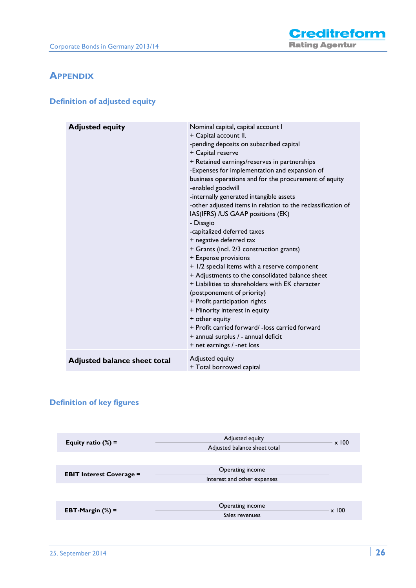## **APPENDIX**

## **Definition of adjusted equity**

| <b>Adjusted equity</b>              | Nominal capital, capital account I<br>+ Capital account II.<br>-pending deposits on subscribed capital<br>+ Capital reserve<br>+ Retained earnings/reserves in partnerships<br>-Expenses for implementation and expansion of<br>business operations and for the procurement of equity<br>-enabled goodwill<br>-internally generated intangible assets<br>-other adjusted items in relation to the reclassification of<br>IAS(IFRS) /US GAAP positions (EK)<br>- Disagio<br>-capitalized deferred taxes<br>+ negative deferred tax<br>+ Grants (incl. 2/3 construction grants)<br>+ Expense provisions<br>+ 1/2 special items with a reserve component<br>+ Adjustments to the consolidated balance sheet<br>+ Liabilities to shareholders with EK character<br>(postponement of priority)<br>+ Profit participation rights<br>+ Minority interest in equity<br>+ other equity<br>+ Profit carried forward/ - loss carried forward<br>+ annual surplus / - annual deficit<br>+ net earnings / -net loss |
|-------------------------------------|--------------------------------------------------------------------------------------------------------------------------------------------------------------------------------------------------------------------------------------------------------------------------------------------------------------------------------------------------------------------------------------------------------------------------------------------------------------------------------------------------------------------------------------------------------------------------------------------------------------------------------------------------------------------------------------------------------------------------------------------------------------------------------------------------------------------------------------------------------------------------------------------------------------------------------------------------------------------------------------------------------|
| <b>Adjusted balance sheet total</b> | Adjusted equity<br>+ Total borrowed capital                                                                                                                                                                                                                                                                                                                                                                                                                                                                                                                                                                                                                                                                                                                                                                                                                                                                                                                                                            |

## **Definition of key figures**

| Equity ratio $(\%) =$           | Adjusted equity<br>Adjusted balance sheet total | $\times 100$ |
|---------------------------------|-------------------------------------------------|--------------|
|                                 |                                                 |              |
| <b>EBIT Interest Coverage =</b> | Operating income<br>Interest and other expenses |              |
|                                 |                                                 |              |
| EBT-Margin $(\%)$ =             | Operating income<br>Sales revenues              | $\times 100$ |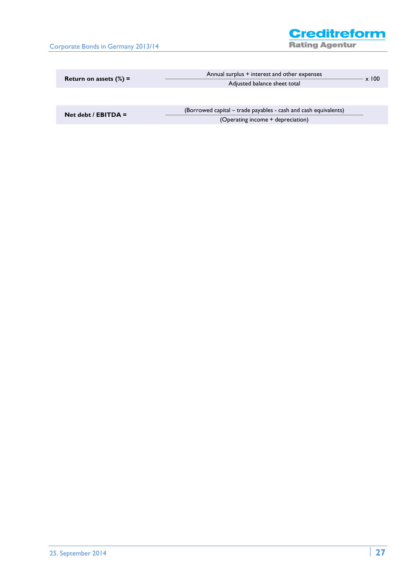Corporate Bonds in Germany 2013/14

**Creditreform Rating Agentur** 

|                           | Annual surplus + interest and other expenses | 100 |
|---------------------------|----------------------------------------------|-----|
| Return on assets $(\%) =$ | Adjusted balance sheet total                 |     |
|                           |                                              |     |

| Net debt / $EBITDA =$ | (Borrowed capital – trade payables - cash and cash equivalents) |
|-----------------------|-----------------------------------------------------------------|
|                       | (Operating income + depreciation)                               |